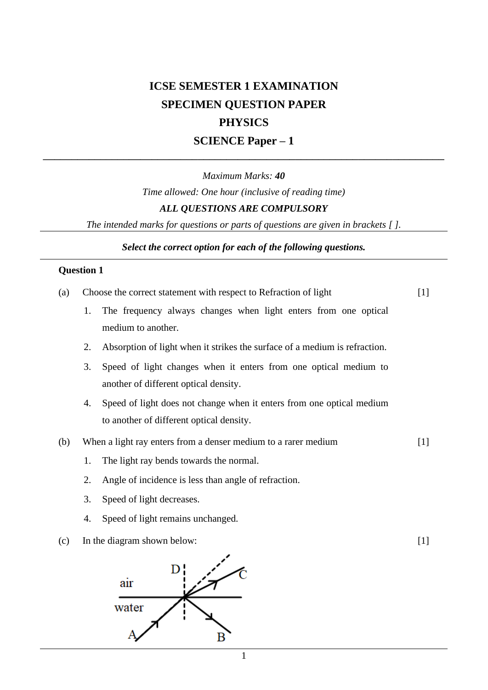# **ICSE SEMESTER 1 EXAMINATION SPECIMEN QUESTION PAPER PHYSICS SCIENCE Paper – 1**

## *Maximum Marks: 40 Time allowed: One hour (inclusive of reading time) ALL QUESTIONS ARE COMPULSORY*

**––––––––––––––––––––––––––––––––––––––––––––––––––––––––––––––––––––––**

*The intended marks for questions or parts of questions are given in brackets [ ].*

*Select the correct option for each of the following questions.*

### **Question 1**

| (a) |    | Choose the correct statement with respect to Refraction of light                      |       |
|-----|----|---------------------------------------------------------------------------------------|-------|
|     | 1. | The frequency always changes when light enters from one optical<br>medium to another. |       |
|     |    |                                                                                       |       |
|     | 2. | Absorption of light when it strikes the surface of a medium is refraction.            |       |
|     | 3. | Speed of light changes when it enters from one optical medium to                      |       |
|     |    | another of different optical density.                                                 |       |
|     | 4. | Speed of light does not change when it enters from one optical medium                 |       |
|     |    | to another of different optical density.                                              |       |
| (b) |    | When a light ray enters from a denser medium to a rarer medium                        | $[1]$ |
|     | 1. | The light ray bends towards the normal.                                               |       |
|     | 2. | Angle of incidence is less than angle of refraction.                                  |       |
|     | 3. | Speed of light decreases.                                                             |       |
|     | 4. | Speed of light remains unchanged.                                                     |       |
|     |    |                                                                                       |       |

(c) In the diagram shown below: [1]

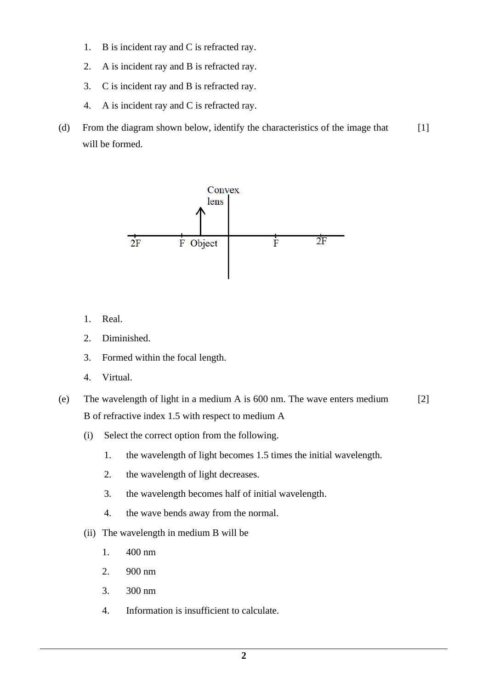- 1. B is incident ray and C is refracted ray.
- 2. A is incident ray and B is refracted ray.
- 3. C is incident ray and B is refracted ray.
- 4. A is incident ray and C is refracted ray.
- (d) From the diagram shown below, identify the characteristics of the image that will be formed. [1]



- 1. Real.
- 2. Diminished.
- 3. Formed within the focal length.
- 4. Virtual.
- (e) The wavelength of light in a medium A is 600 nm. The wave enters medium B of refractive index 1.5 with respect to medium A [2]
	- (i) Select the correct option from the following.
		- 1. the wavelength of light becomes 1.5 times the initial wavelength.
		- 2. the wavelength of light decreases.
		- 3. the wavelength becomes half of initial wavelength.
		- 4. the wave bends away from the normal.
	- (ii) The wavelength in medium B will be
		- 1. 400 nm
		- 2. 900 nm
		- 3. 300 nm
		- 4. Information is insufficient to calculate.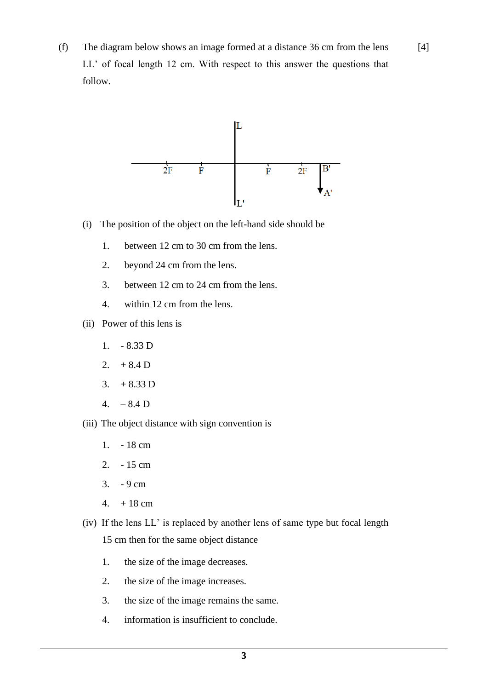(f) The diagram below shows an image formed at a distance 36 cm from the lens LL' of focal length 12 cm. With respect to this answer the questions that follow.

[4]



- (i) The position of the object on the left-hand side should be
	- 1. between 12 cm to 30 cm from the lens.
	- 2. beyond 24 cm from the lens.
	- 3. between 12 cm to 24 cm from the lens.
	- 4. within 12 cm from the lens.
- (ii) Power of this lens is
	- 1. 8.33 D
	- 2.  $+8.4$  D
	- 3.  $+8.33$  D
	- $4. -8.4 D$
- (iii) The object distance with sign convention is
	- 1. 18 cm
	- 2. 15 cm
	- 3. 9 cm
	- 4.  $+18$  cm
- (iv) If the lens LL' is replaced by another lens of same type but focal length 15 cm then for the same object distance
	- 1. the size of the image decreases.
	- 2. the size of the image increases.
	- 3. the size of the image remains the same.
	- 4. information is insufficient to conclude.

**3**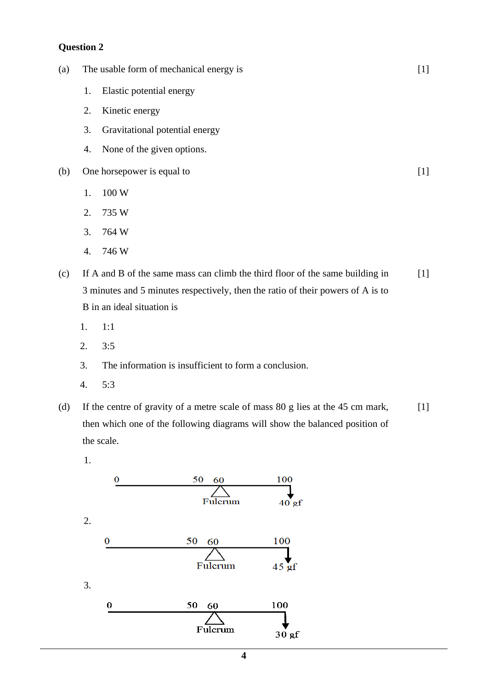#### **Question 2**

- (a) The usable form of mechanical energy is
	- 1. Elastic potential energy
	- 2. Kinetic energy
	- 3. Gravitational potential energy
	- 4. None of the given options.
- (b) One horsepower is equal to
	- 1. 100 W
	- 2. 735 W
	- 3. 764 W
	- 4. 746 W
- (c) If A and B of the same mass can climb the third floor of the same building in 3 minutes and 5 minutes respectively, then the ratio of their powers of A is to B in an ideal situation is  $[1]$

[1]

[1]

- 1. 1:1
- 2. 3:5
- 3. The information is insufficient to form a conclusion.
- 4. 5:3
- (d) If the centre of gravity of a metre scale of mass 80 g lies at the 45 cm mark, then which one of the following diagrams will show the balanced position of the scale. [1]
	- 1. 100  $\bf{O}$ 50 Fulcrum  $40^{\prime}$ gf 2. 100  $\bf{0}$ 50 60 Fulcrum  $45 \text{ gf}$ 3. 100  $\bf{0}$ 50 60 Fulcrum  $30 gf$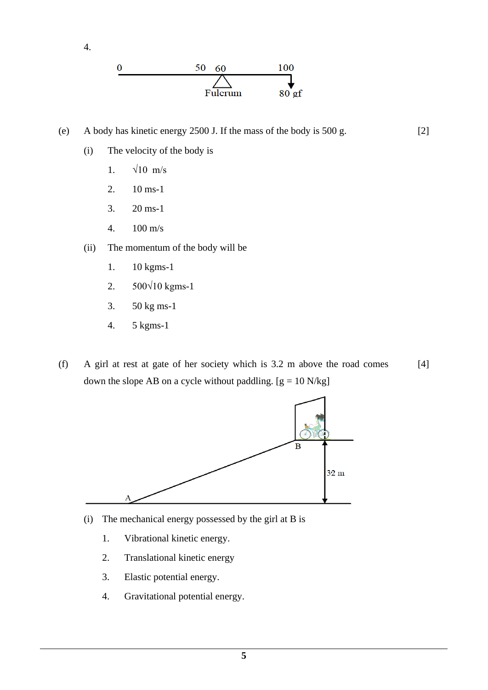



(e) A body has kinetic energy 2500 J. If the mass of the body is 500 g.

[2]

- (i) The velocity of the body is
	- 1.  $\sqrt{10}$  m/s
	- 2. 10 ms-1
	- 3. 20 ms-1
	- 4. 100 m/s
- (ii) The momentum of the body will be
	- 1. 10 kgms-1
	- 2. 500√10 kgms-1
	- 3. 50 kg ms-1
	- 4. 5 kgms-1
- (f) A girl at rest at gate of her society which is 3.2 m above the road comes down the slope AB on a cycle without paddling.  $[g = 10 N/kg]$ [4]



- (i) The mechanical energy possessed by the girl at B is
	- 1. Vibrational kinetic energy.
	- 2. Translational kinetic energy
	- 3. Elastic potential energy.
	- 4. Gravitational potential energy.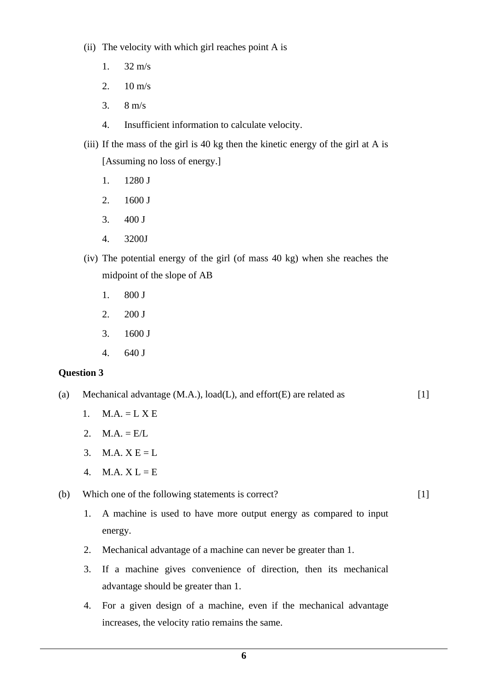- (ii) The velocity with which girl reaches point A is
	- 1. 32 m/s
	- 2.  $10 \text{ m/s}$
	- 3. 8 m/s
	- 4. Insufficient information to calculate velocity.
- (iii) If the mass of the girl is 40 kg then the kinetic energy of the girl at A is [Assuming no loss of energy.]
	- 1. 1280 J
	- 2. 1600 J
	- 3. 400 J
	- 4. 3200J
- (iv) The potential energy of the girl (of mass 40 kg) when she reaches the midpoint of the slope of AB
	- 1. 800 J
	- 2. 200 J
	- 3. 1600 J
	- 4. 640 J

#### **Question 3**

- (a) Mechanical advantage  $(M.A.)$ , load $(L)$ , and effort $(E)$  are related as [1]
	- 1.  $M.A. = L X E$
	- 2.  $M.A. = E/L$
	- 3. M.A.  $X E = L$
	- 4.  $M.A. X L = E$

(b) Which one of the following statements is correct?

1. A machine is used to have more output energy as compared to input energy.

[1]

- 2. Mechanical advantage of a machine can never be greater than 1.
- 3. If a machine gives convenience of direction, then its mechanical advantage should be greater than 1.
- 4. For a given design of a machine, even if the mechanical advantage increases, the velocity ratio remains the same.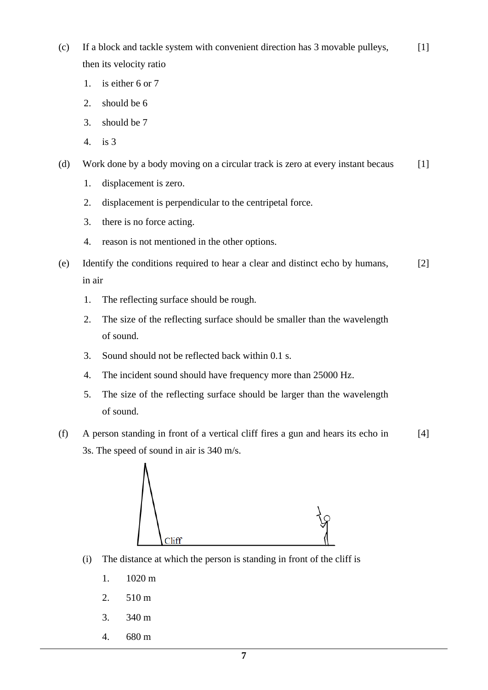- (c) If a block and tackle system with convenient direction has 3 movable pulleys, then its velocity ratio  $[1]$ 
	- 1. is either 6 or 7
	- 2. should be 6
	- 3. should be 7
	- 4. is 3
- (d) Work done by a body moving on a circular track is zero at every instant becaus [1]
	- 1. displacement is zero.
	- 2. displacement is perpendicular to the centripetal force.
	- 3. there is no force acting.
	- 4. reason is not mentioned in the other options.
- (e) Identify the conditions required to hear a clear and distinct echo by humans, in air [2]
	- 1. The reflecting surface should be rough.
	- 2. The size of the reflecting surface should be smaller than the wavelength of sound.
	- 3. Sound should not be reflected back within 0.1 s.
	- 4. The incident sound should have frequency more than 25000 Hz.
	- 5. The size of the reflecting surface should be larger than the wavelength of sound.
- (f) A person standing in front of a vertical cliff fires a gun and hears its echo in 3s. The speed of sound in air is 340 m/s. [4]



- (i) The distance at which the person is standing in front of the cliff is
	- 1. 1020 m
	- 2. 510 m
	- 3. 340 m
	- 4. 680 m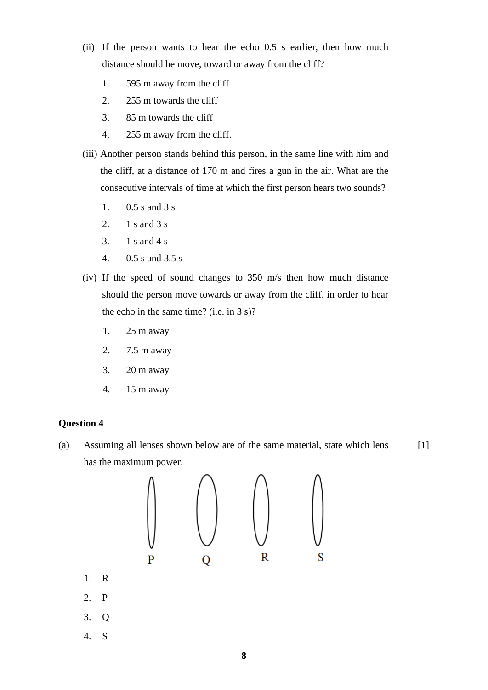- (ii) If the person wants to hear the echo 0.5 s earlier, then how much distance should he move, toward or away from the cliff?
	- 1. 595 m away from the cliff
	- 2. 255 m towards the cliff
	- 3. 85 m towards the cliff
	- 4. 255 m away from the cliff.
- (iii) Another person stands behind this person, in the same line with him and the cliff, at a distance of 170 m and fires a gun in the air. What are the consecutive intervals of time at which the first person hears two sounds?
	- 1. 0.5 s and 3 s
	- 2. 1 s and 3 s
	- 3. 1 s and 4 s
	- 4. 0.5 s and 3.5 s
- (iv) If the speed of sound changes to 350 m/s then how much distance should the person move towards or away from the cliff, in order to hear the echo in the same time? (i.e. in 3 s)?
	- 1. 25 m away
	- 2. 7.5 m away
	- 3. 20 m away
	- 4. 15 m away

#### **Question 4**

(a) Assuming all lenses shown below are of the same material, state which lens has the maximum power. [1]

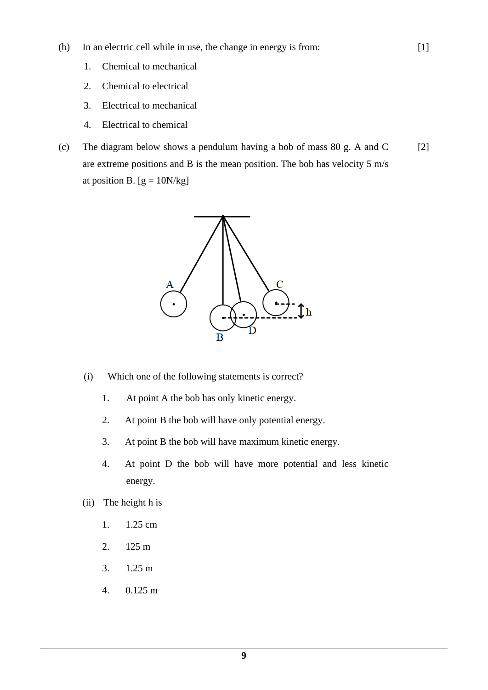- (b) In an electric cell while in use, the change in energy is from:
	- 1. Chemical to mechanical
	- 2. Chemical to electrical
	- 3. Electrical to mechanical
	- 4. Electrical to chemical
- (c) The diagram below shows a pendulum having a bob of mass 80 g. A and C are extreme positions and B is the mean position. The bob has velocity 5 m/s at position B.  $[g = 10N/kg]$ [2]

[1]



- (i) Which one of the following statements is correct?
	- 1. At point A the bob has only kinetic energy.
	- 2. At point B the bob will have only potential energy.
	- 3. At point B the bob will have maximum kinetic energy.
	- 4. At point D the bob will have more potential and less kinetic energy.
- (ii) The height h is
	- 1. 1.25 cm
	- 2. 125 m
	- 3. 1.25 m
	- 4. 0.125 m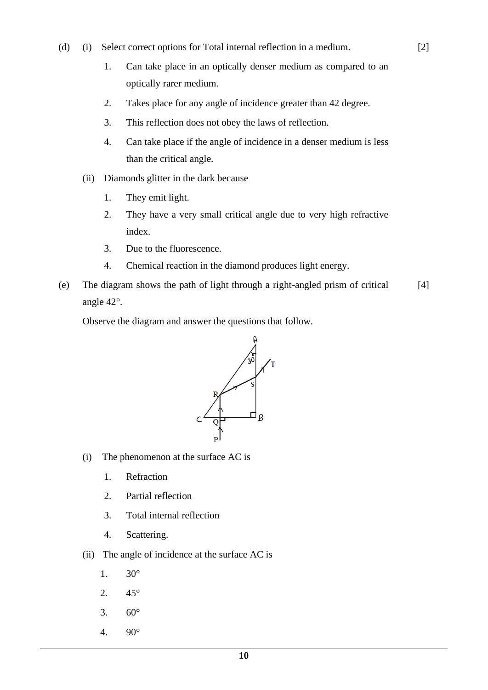- (d) (i) Select correct options for Total internal reflection in a medium.
	- 1. Can take place in an optically denser medium as compared to an optically rarer medium.

[2]

- 2. Takes place for any angle of incidence greater than 42 degree.
- 3. This reflection does not obey the laws of reflection.
- 4. Can take place if the angle of incidence in a denser medium is less than the critical angle.
- (ii) Diamonds glitter in the dark because
	- 1. They emit light.
	- 2. They have a very small critical angle due to very high refractive index.
	- 3. Due to the fluorescence.
	- 4. Chemical reaction in the diamond produces light energy.
- (e) The diagram shows the path of light through a right-angled prism of critical angle 42°. [4]

Observe the diagram and answer the questions that follow.



- (i) The phenomenon at the surface AC is
	- 1. Refraction
	- 2. Partial reflection
	- 3. Total internal reflection
	- 4. Scattering.
- (ii) The angle of incidence at the surface AC is
	- 1. 30°
	- 2. 45°
	- 3.  $60^{\circ}$
	- 4. 90°